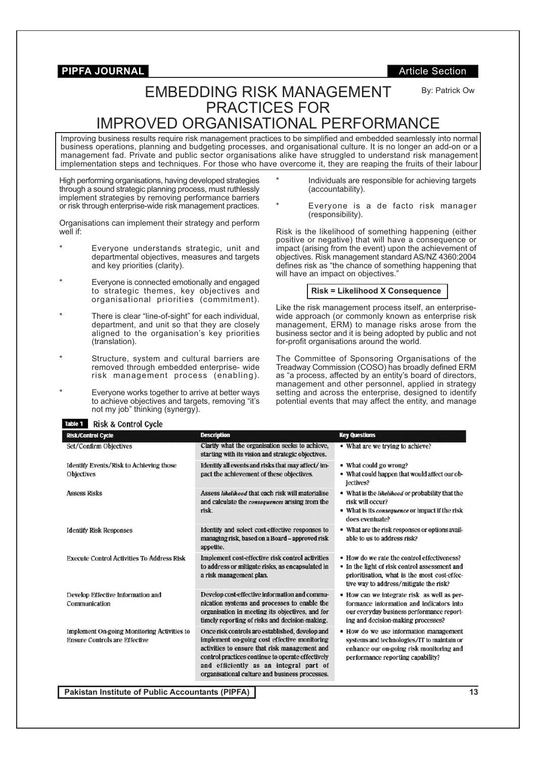By: Patrick Ow

# EMBEDDING RISK MANAGEMENT PRACTICES FOR IMPROVED ORGANISATIONAL PERFORMANCE

Improving business results require risk management practices to be simplified and embedded seamlessly into normal business operations, planning and budgeting processes, and organisational culture. It is no longer an add-on or a management fad. Private and public sector organisations alike have struggled to understand risk management implementation steps and techniques. For those who have overcome it, they are reaping the fruits of their labour

High performing organisations, having developed strategies through a sound strategic planning process, must ruthlessly implement strategies by removing performance barriers or risk through enterprise-wide risk management practices.

Organisations can implement their strategy and perform well if:

- Everyone understands strategic, unit and departmental objectives, measures and targets and key priorities (clarity).
- Everyone is connected emotionally and engaged to strategic themes, key objectives and organisational priorities (commitment).
- There is clear "line-of-sight" for each individual, department, and unit so that they are closely aligned to the organisation's key priorities (translation).
- Structure, system and cultural barriers are removed through embedded enterprise- wide risk management process (enabling).
- Everyone works together to arrive at better ways to achieve objectives and targets, removing "it's not my job" thinking (synergy).
- Individuals are responsible for achieving targets (accountability).
- Everyone is a de facto risk manager (responsibility).

Risk is the likelihood of something happening (either positive or negative) that will have a consequence or impact (arising from the event) upon the achievement of objectives. Risk management standard AS/NZ 4360:2004 defines risk as "the chance of something happening that will have an impact on objectives."

#### **Risk = Likelihood X Consequence**

Like the risk management process itself, an enterprisewide approach (or commonly known as enterprise risk management, ERM) to manage risks arose from the business sector and it is being adopted by public and not for-profit organisations around the world.

The Committee of Sponsoring Organisations of the Treadway Commission (COSO) has broadly defined ERM as "a process, affected by an entity's board of directors, management and other personnel, applied in strategy setting and across the enterprise, designed to identify potential events that may affect the entity, and manage

| Table 1<br><b>Risk &amp; Control Cycle</b>                                                 |                                                                                                                                                                                                                                                                                                   |                                                                                                                                                                                        |
|--------------------------------------------------------------------------------------------|---------------------------------------------------------------------------------------------------------------------------------------------------------------------------------------------------------------------------------------------------------------------------------------------------|----------------------------------------------------------------------------------------------------------------------------------------------------------------------------------------|
| <b>Risk/Control Cycle</b>                                                                  | <b>Description</b>                                                                                                                                                                                                                                                                                | <b>Key Questions</b>                                                                                                                                                                   |
| Set/Confirm Objectives                                                                     | Clarify what the organisation seeks to achieve,<br>starting with its vision and strategic objectives.                                                                                                                                                                                             | • What are we trying to achieve?                                                                                                                                                       |
| Identify Events/Risk to Achieving those<br><b>Objectives</b>                               | Identify all events and risks that may affect/im-<br>pact the achievement of these objectives.                                                                                                                                                                                                    | • What could go wrong?<br>• What could happen that would affect our ob-<br>jectives?                                                                                                   |
| <b>Assess Risks</b>                                                                        | Assess likelihood that each risk will materialise<br>and calculate the <i>consequences</i> arising from the<br>risk.                                                                                                                                                                              | • What is the likelihood or probability that the<br>risk will occur?<br>• What is its consequence or impact if the risk<br>does eventuate?                                             |
| <b>Identify Risk Responses</b>                                                             | Identify and select cost-effective responses to<br>managing risk, based on a Board - approved risk<br>appetite.                                                                                                                                                                                   | • What are the risk responses or options avail-<br>able to us to address risk?                                                                                                         |
| <b>Execute Control Activities To Address Risk</b>                                          | Implement cost-effective risk control activities<br>to address or mitigate risks, as encapsulated in<br>a risk management plan.                                                                                                                                                                   | • How do we rate the control effectiveness?<br>• In the light of risk control assessment and<br>prioritisation, what is the most cost-effec-<br>tive way to address/mitigate the risk? |
| Develop Effective Information and<br>Communication                                         | Develop cost-effective information and commu-<br>nication systems and processes to enable the<br>organisation in meeting its objectives, and for<br>timely reporting of risks and decision-making.                                                                                                | • How can we integrate risk as well as per-<br>formance information and indicators into<br>our everyday business performance report-<br>ing and decision-making processes?             |
| <b>Implement On-going Monitoring Activities to</b><br><b>Ensure Controls are Effective</b> | Once risk controls are established, develop and<br>implement on-going cost effective monitoring<br>activities to ensure that risk management and<br>control practices continue to operate effectively<br>and efficiently as an integral part of<br>organisational culture and business processes. | • How do we use information management<br>systems and technologies/IT to maintain or<br>enhance our on-going risk monitoring and<br>performance reporting capability?                  |

**Pakistan Institute of Public Accountants (PIPFA) 13**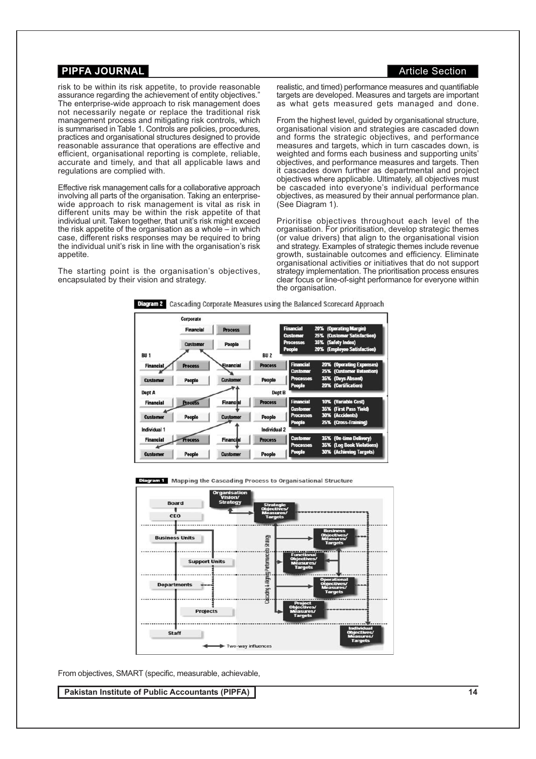risk to be within its risk appetite, to provide reasonable assurance regarding the achievement of entity objectives. The enterprise-wide approach to risk management does not necessarily negate or replace the traditional risk management process and mitigating risk controls, which is summarised in Table 1. Controls are policies, procedures, practices and organisational structures designed to provide reasonable assurance that operations are effective and efficient, organisational reporting is complete, reliable, accurate and timely, and that all applicable laws and regulations are complied with.

Effective risk management calls for a collaborative approach involving all parts of the organisation. Taking an enterprisewide approach to risk management is vital as risk in different units may be within the risk appetite of that individual unit. Taken together, that unit's risk might exceed the risk appetite of the organisation as a whole  $-$  in which case, different risks responses may be required to bring the individual unit's risk in line with the organisation's risk appetite.

The starting point is the organisation's objectives, encapsulated by their vision and strategy.

realistic, and timed) performance measures and quantifiable targets are developed. Measures and targets are important as what gets measured gets managed and done.

From the highest level, guided by organisational structure, organisational vision and strategies are cascaded down and forms the strategic objectives, and performance measures and targets, which in turn cascades down, is weighted and forms each business and supporting units' objectives, and performance measures and targets. Then it cascades down further as departmental and project objectives where applicable. Ultimately, all objectives must be cascaded into everyone's individual performance objectives, as measured by their annual performance plan. (See Diagram 1).

Prioritise objectives throughout each level of the organisation. For prioritisation, develop strategic themes (or value drivers) that align to the organisational vision and strategy. Examples of strategic themes include revenue growth, sustainable outcomes and efficiency. Eliminate organisational activities or initiatives that do not support strategy implementation. The prioritisation process ensures clear focus or line-of-sight performance for everyone within the organisation.



|                  | Corporate        |                  |                |                                     |                                                       |
|------------------|------------------|------------------|----------------|-------------------------------------|-------------------------------------------------------|
|                  | <b>Financial</b> | <b>Process</b>   |                | <b>Financial</b><br><b>Customer</b> | 20% (Operating Margin)<br>25% (Customer Satisfaction) |
|                  | Customer         | People           |                | <b>Processes</b><br>People          | 35% (Safety Index)<br>20% (Employee Satisfaction)     |
| <b>BU1</b>       |                  |                  | <b>BU2</b>     |                                     |                                                       |
| <b>Financial</b> | <b>Process</b>   | Einancial        | <b>Process</b> | <b>Financial</b>                    | 20% (Operating Expenses)                              |
|                  |                  |                  |                | <b>Customer</b>                     | 25% (Customer Retention)                              |
| <b>Customer</b>  | People           | <b>Customer</b>  | People         | <b>Processes</b>                    | 35% (Days Absent)                                     |
| Dept A           |                  |                  | Dept B         | People                              | 20% (Certification)                                   |
| <b>Financial</b> | <b>Procuss</b>   | <b>Financial</b> | <b>Process</b> | <b>Financial</b>                    | 10% (Variable Cost)                                   |
|                  |                  |                  |                | <b>Customer</b>                     | 35% (First Pass Yield)                                |
| <b>Customer</b>  | People           | Customer         | People         | <b>Processes</b>                    | 30% (Accidents)                                       |
| Individual 1     |                  |                  | Individual 2   | People                              | 25% (Cross-Training)                                  |
| <b>Financial</b> | Process          | Financial        | <b>Process</b> | <b>Customer</b>                     | 35% (On-time Delivery)                                |
|                  |                  |                  |                | <b>Processes</b>                    | 35% (Log Book Violations)                             |
| <b>Customer</b>  | People           | Customer         | People         | People                              | 30% (Achieving Targets)                               |

Diagram 1 Mapping the Cascading Process to Organisational Structure



From objectives, SMART (specific, measurable, achievable,

**Pakistan Institute of Public Accountants (PIPFA) 14**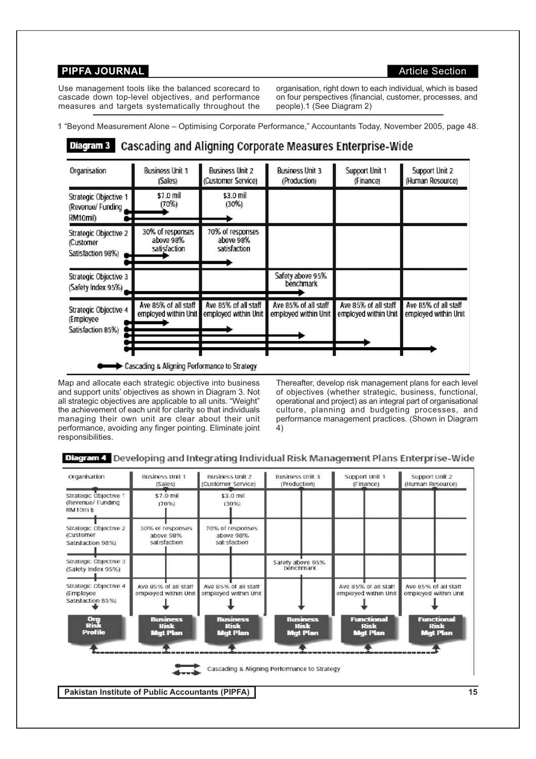Use management tools like the balanced scorecard to cascade down top-level objectives, and performance measures and targets systematically throughout the organisation, right down to each individual, which is based on four perspectives (financial, customer, processes, and people).1 (See Diagram 2)

### 1 "Beyond Measurement Alone – Optimising Corporate Performance," Accountants Today, November 2005, page 48.

#### Diagram 3 **Cascading and Aligning Corporate Measures Enterprise-Wide**

| Organisation                                            | <b>Business Unit 1</b><br>(Sales)              | <b>Business Unit 2</b><br>(Customer Service)  | <b>Business Unit 3</b><br>(Production)       | Support Unit 1<br>(Finance)                  | Support Unit 2<br>(Human Resource)           |
|---------------------------------------------------------|------------------------------------------------|-----------------------------------------------|----------------------------------------------|----------------------------------------------|----------------------------------------------|
| Strategic Objective 1<br>(Revenue/ Funding<br>RM10mil)  | \$7.0 mil<br>(70%)                             | \$3.0 mil<br>(30%)                            |                                              |                                              |                                              |
| Strategic Objective 2<br>(Customer<br>Satisfaction 98%) | 30% of responses<br>above 98%<br>satisfaction  | 70% of responses<br>above 98%<br>satisfaction |                                              |                                              |                                              |
| Strategic Objective 3<br>(Safety Index 95%)             |                                                |                                               | Safety above 95%<br>benchmark                |                                              |                                              |
| Strategic Objective 4<br>(Employee<br>Satisfaction 85%) | Ave 85% of all staff<br>employed within Unit   | Ave 85% of all staff<br>employed within Unit  | Ave 85% of all staff<br>employed within Unit | Ave 85% of all staff<br>employed within Unit | Ave 85% of all staff<br>employed within Unit |
|                                                         | ► Cascading & Aligning Performance to Strategy |                                               |                                              |                                              |                                              |

Map and allocate each strategic objective into business and support units' objectives as shown in Diagram 3. Not all strategic objectives are applicable to all units. "Weight" the achievement of each unit for clarity so that individuals managing their own unit are clear about their unit performance, avoiding any finger pointing. Eliminate joint responsibilities.

Thereafter, develop risk management plans for each level of objectives (whether strategic, business, functional, operational and project) as an integral part of organisational culture, planning and budgeting processes, and performance management practices. (Shown in Diagram 4)

#### Diagram 4 Developing and Integrating Individual Risk Management Plans Enterprise-Wide

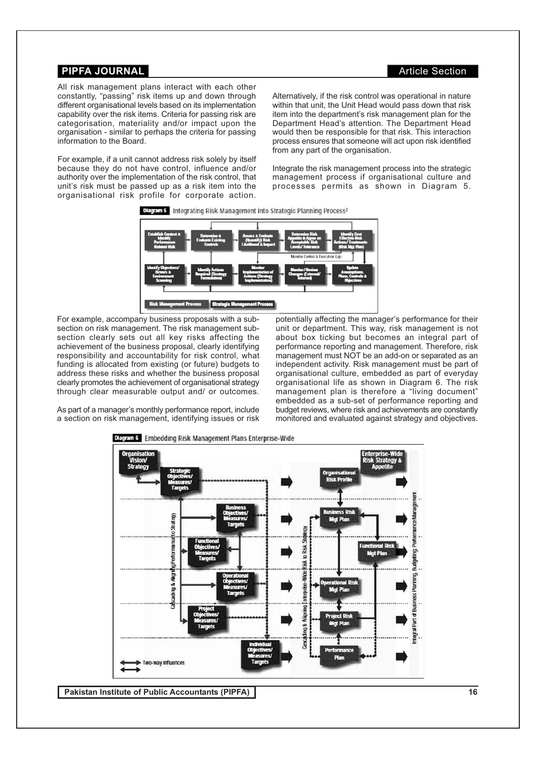#### **PIPFA JOURNAL And Article Section Article Section**

All risk management plans interact with each other constantly, "passing" risk items up and down through different organisational levels based on its implementation capability over the risk items. Criteria for passing risk are categorisation, materiality and/or impact upon the organisation - similar to perhaps the criteria for passing information to the Board.

For example, if a unit cannot address risk solely by itself because they do not have control, influence and/or authority over the implementation of the risk control, that unit's risk must be passed up as a risk item into the organisational risk profile for corporate action.

Alternatively, if the risk control was operational in nature within that unit, the Unit Head would pass down that risk item into the department's risk management plan for the Department Head's attention. The Department Head would then be responsible for that risk. This interaction process ensures that someone will act upon risk identified from any part of the organisation.

Integrate the risk management process into the strategic management process if organisational culture and processes permits as shown in Diagram 5.





For example, accompany business proposals with a subsection on risk management. The risk management subsection clearly sets out all key risks affecting the achievement of the business proposal, clearly identifying responsibility and accountability for risk control, what funding is allocated from existing (or future) budgets to address these risks and whether the business proposal clearly promotes the achievement of organisational strategy through clear measurable output and/ or outcomes.

potentially affecting the manager's performance for their unit or department. This way, risk management is not about box ticking but becomes an integral part of performance reporting and management. Therefore, risk management must NOT be an add-on or separated as an independent activity. Risk management must be part of organisational culture, embedded as part of everyday organisational life as shown in Diagram 6. The risk management plan is therefore a "living document" embedded as a sub-set of performance reporting and budget reviews, where risk and achievements are constantly monitored and evaluated against strategy and objectives.

As part of a manager's monthly performance report, include a section on risk management, identifying issues or risk



**Pakistan Institute of Public Accountants (PIPFA) 16**